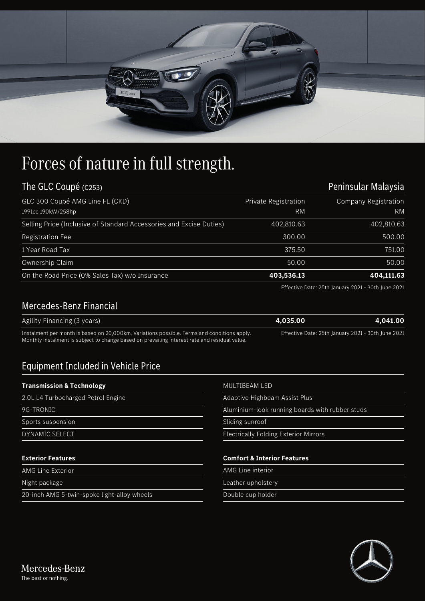| $\overline{\phantom{a}}$<br>division in which the Real<br><b><i>Property of the Con-</i></b><br><b><i>CONSUMER</i></b><br>171777<br><b>REAL PROPERTY</b><br><b><i><u>PERSONAL PROPERTY</u></i></b><br>$\mathcal{O}$ and $\mathcal{O}$<br>GLC 300 Coupé |  |
|--------------------------------------------------------------------------------------------------------------------------------------------------------------------------------------------------------------------------------------------------------|--|
|                                                                                                                                                                                                                                                        |  |

## Forces of nature in full strength.

| The GLC Coupé (C253)                                                |                      | Peninsular Malaysia                                                                                                               |
|---------------------------------------------------------------------|----------------------|-----------------------------------------------------------------------------------------------------------------------------------|
| GLC 300 Coupé AMG Line FL (CKD)                                     | Private Registration | <b>Company Registration</b>                                                                                                       |
| 1991cc 190kW/258hp                                                  | RM                   | RM                                                                                                                                |
| Selling Price (Inclusive of Standard Accessories and Excise Duties) | 402,810.63           | 402,810.63                                                                                                                        |
| <b>Registration Fee</b>                                             | 300.00               | 500.00                                                                                                                            |
| 1 Year Road Tax                                                     | 375.50               | 751.00                                                                                                                            |
| Ownership Claim                                                     | 50.00                | 50.00                                                                                                                             |
| On the Road Price (0% Sales Tax) w/o Insurance                      | 403,536.13           | 404,111.63                                                                                                                        |
|                                                                     |                      | $T_{11}$ , $T_{22}$ , $D_{12}$ , $D_{13}$ , $D_{14}$ , $D_{15}$ , $D_{16}$ , $D_{17}$ , $D_{18}$ , $D_{19}$ , $D_{19}$ , $D_{10}$ |

Effective Date: 25th January 2021 - 30th June 2021

## Mercedes-Benz Financial

| Agility Financing (3 years)                                                                   | 4.035.00                                           | 4.041.00 |
|-----------------------------------------------------------------------------------------------|----------------------------------------------------|----------|
| Instalment per month is based on 20,000km. Variations possible. Terms and conditions apply.   | Effective Date: 25th January 2021 - 30th June 2021 |          |
| Monthly instalment is subject to change based on prevailing interest rate and residual value. |                                                    |          |

## Equipment Included in Vehicle Price

## **Transmission & Technology**

| 2.0L L4 Turbocharged Petrol Engine | Adaptive Highbeam Assist Plus                   |  |
|------------------------------------|-------------------------------------------------|--|
| 9G-TRONIC                          | Aluminium-look running boards with rubber studs |  |
| Sports suspension                  | Sliding sunroof                                 |  |
| <b>DYNAMIC SELECT</b>              | <b>Electrically Folding Exterior Mirrors</b>    |  |
| <b>Exterior Features</b>           | <b>Comfort &amp; Interior Features</b>          |  |
|                                    |                                                 |  |
| <b>AMG Line Exterior</b>           | AMG Line interior                               |  |

20-inch AMG 5-twin-spoke light-alloy wheels

MULTIBEAM LED

Double cup holder